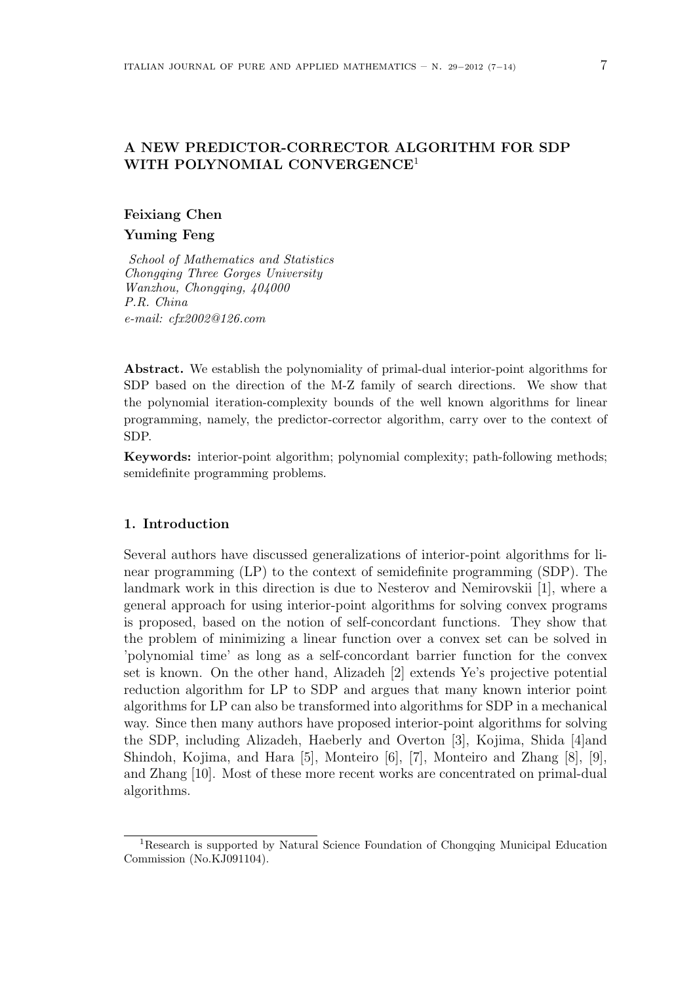## A NEW PREDICTOR-CORRECTOR ALGORITHM FOR SDP WITH POLYNOMIAL CONVERGENCE<sup>1</sup>

# Feixiang Chen Yuming Feng

School of Mathematics and Statistics Chongqing Three Gorges University Wanzhou, Chongqing, 404000 P.R. China e-mail: cfx2002@126.com

Abstract. We establish the polynomiality of primal-dual interior-point algorithms for SDP based on the direction of the M-Z family of search directions. We show that the polynomial iteration-complexity bounds of the well known algorithms for linear programming, namely, the predictor-corrector algorithm, carry over to the context of SDP.

Keywords: interior-point algorithm; polynomial complexity; path-following methods; semidefinite programming problems.

### 1. Introduction

Several authors have discussed generalizations of interior-point algorithms for linear programming (LP) to the context of semidefinite programming (SDP). The landmark work in this direction is due to Nesterov and Nemirovskii [1], where a general approach for using interior-point algorithms for solving convex programs is proposed, based on the notion of self-concordant functions. They show that the problem of minimizing a linear function over a convex set can be solved in 'polynomial time' as long as a self-concordant barrier function for the convex set is known. On the other hand, Alizadeh [2] extends Ye's projective potential reduction algorithm for LP to SDP and argues that many known interior point algorithms for LP can also be transformed into algorithms for SDP in a mechanical way. Since then many authors have proposed interior-point algorithms for solving the SDP, including Alizadeh, Haeberly and Overton [3], Kojima, Shida [4]and Shindoh, Kojima, and Hara [5], Monteiro [6], [7], Monteiro and Zhang [8], [9], and Zhang [10]. Most of these more recent works are concentrated on primal-dual algorithms.

<sup>1</sup>Research is supported by Natural Science Foundation of Chongqing Municipal Education Commission (No.KJ091104).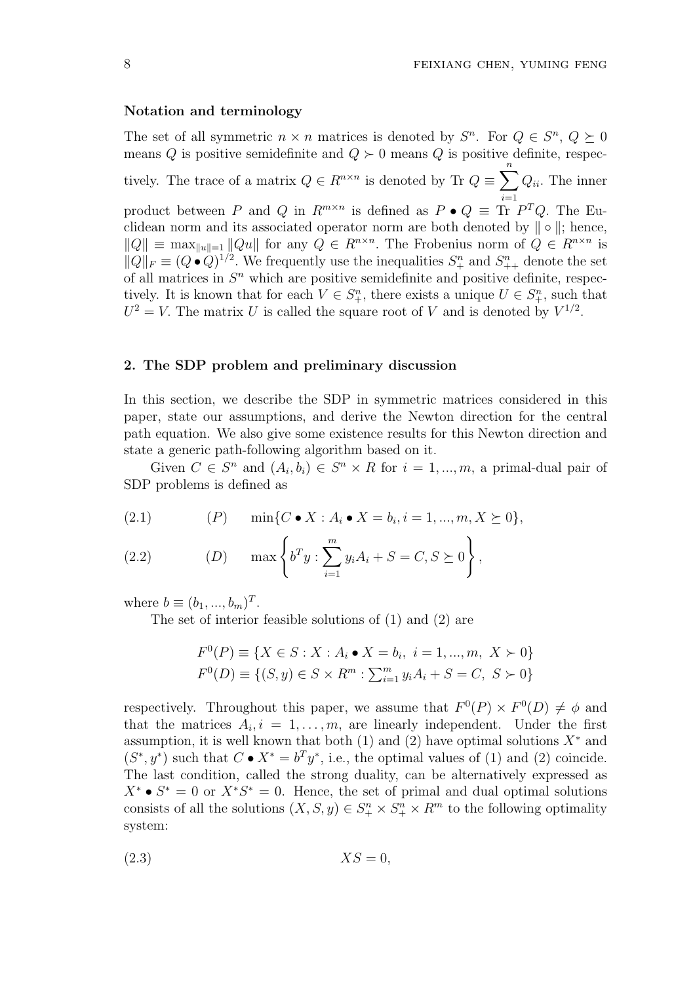#### Notation and terminology

The set of all symmetric  $n \times n$  matrices is denoted by  $S^n$ . For  $Q \in S^n$ ,  $Q \succeq 0$ means Q is positive semidefinite and  $Q \succ 0$  means Q is positive definite, respectively. The trace of a matrix  $Q \in R^{n \times n}$  is denoted by Tr  $Q \equiv$  $\frac{n}{\sqrt{2}}$  $i=1$  $Q_{ii}$ . The inner product between P and Q in  $R^{m \times n}$  is defined as  $P \bullet Q \equiv \text{Tr } P^T Q$ . The Euclidean norm and its associated operator norm are both denoted by  $\| \circ \|$ ; hence,  $||Q|| \equiv \max_{||u||=1} ||Qu||$  for any  $Q \in R^{n \times n}$ . The Frobenius norm of  $Q \in R^{n \times n}$  is  $||Q||_F \equiv (Q \bullet Q)^{1/2}$ . We frequently use the inequalities  $S^n_+$  and  $S^n_{++}$  denote the set of all matrices in  $S<sup>n</sup>$  which are positive semidefinite and positive definite, respectively. It is known that for each  $V \in S^n_+$ , there exists a unique  $U \in S^n_+$ , such that  $U^2 = V$ . The matrix U is called the square root of V and is denoted by  $V^{1/2}$ .

#### 2. The SDP problem and preliminary discussion

In this section, we describe the SDP in symmetric matrices considered in this paper, state our assumptions, and derive the Newton direction for the central path equation. We also give some existence results for this Newton direction and state a generic path-following algorithm based on it.

Given  $C \in S^n$  and  $(A_i, b_i) \in S^n \times R$  for  $i = 1, ..., m$ , a primal-dual pair of SDP problems is defined as

(2.1) 
$$
(P) \quad \min\{C \bullet X : A_i \bullet X = b_i, i = 1, ..., m, X \succeq 0\},
$$

(2.2) 
$$
(D)
$$
 max  $\left\{ b^T y : \sum_{i=1}^m y_i A_i + S = C, S \succeq 0 \right\},\$ 

where  $b \equiv (b_1, ..., b_m)^T$ .

The set of interior feasible solutions of (1) and (2) are

$$
F^{0}(P) \equiv \{ X \in S : X : A_{i} \bullet X = b_{i}, i = 1, ..., m, X \succ 0 \}
$$
  

$$
F^{0}(D) \equiv \{ (S, y) \in S \times R^{m} : \sum_{i=1}^{m} y_{i} A_{i} + S = C, S \succ 0 \}
$$

respectively. Throughout this paper, we assume that  $F^0(P) \times F^0(D) \neq \phi$  and that the matrices  $A_i, i = 1, \ldots, m$ , are linearly independent. Under the first assumption, it is well known that both (1) and (2) have optimal solutions  $X^*$  and  $(S^*, y^*)$  such that  $C \bullet X^* = b^T y^*$ , i.e., the optimal values of (1) and (2) coincide. The last condition, called the strong duality, can be alternatively expressed as  $X^* \bullet S^* = 0$  or  $X^*S^* = 0$ . Hence, the set of primal and dual optimal solutions consists of all the solutions  $(X, S, y) \in S^n_+ \times S^n_+ \times R^m$  to the following optimality system:

$$
(2.3) \t\t XS = 0,
$$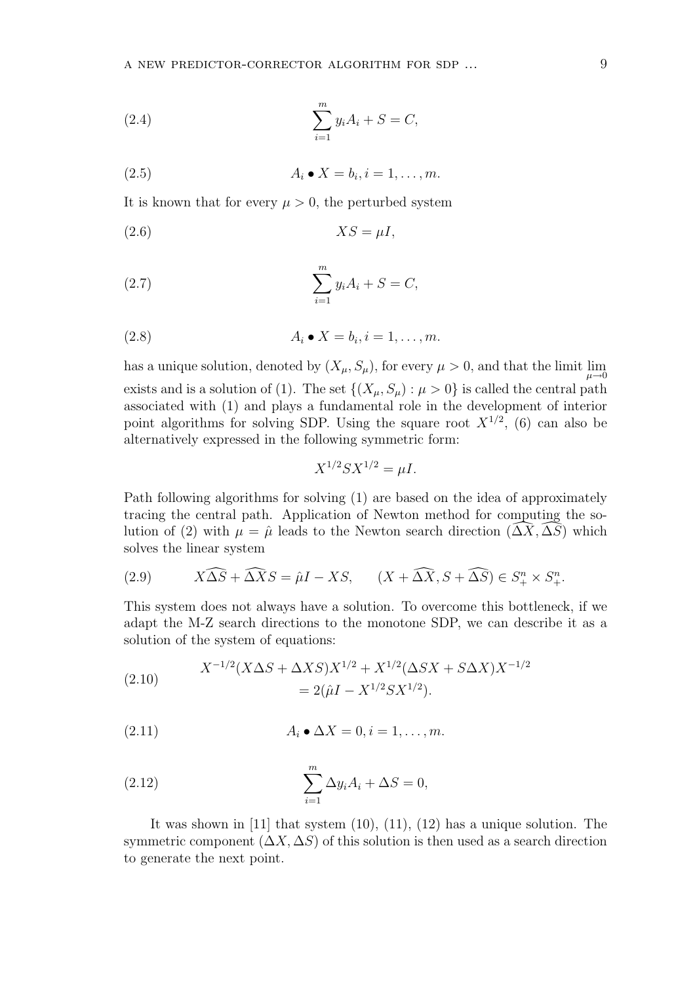(2.4) 
$$
\sum_{i=1}^{m} y_i A_i + S = C,
$$

$$
(2.5) \t\t A_i \bullet X = b_i, i = 1, \ldots, m.
$$

It is known that for every  $\mu > 0$ , the perturbed system

(2.6) XS = µI,

(2.7) 
$$
\sum_{i=1}^{m} y_i A_i + S = C,
$$

$$
(2.8) \t\t A_i \bullet X = b_i, i = 1, \ldots, m.
$$

has a unique solution, denoted by  $(X_{\mu}, S_{\mu})$ , for every  $\mu > 0$ , and that the limit  $\lim_{\mu \to 0}$ exists and is a solution of (1). The set  $\{(X_\mu, S_\mu) : \mu > 0\}$  is called the central path associated with (1) and plays a fundamental role in the development of interior point algorithms for solving SDP. Using the square root  $X^{1/2}$ , (6) can also be alternatively expressed in the following symmetric form:

$$
X^{1/2}SX^{1/2} = \mu I.
$$

Path following algorithms for solving (1) are based on the idea of approximately tracing the central path. Application of Newton method for computing the solution of (2) with  $\mu = \hat{\mu}$  leads to the Newton search direction  $(\Delta X, \Delta S)$  which solves the linear system

(2.9) 
$$
X\widehat{\Delta S} + \widehat{\Delta X}S = \widehat{\mu}I - XS, \qquad (X + \widehat{\Delta X}, S + \widehat{\Delta S}) \in S^{n}_{+} \times S^{n}_{+}.
$$

This system does not always have a solution. To overcome this bottleneck, if we adapt the M-Z search directions to the monotone SDP, we can describe it as a solution of the system of equations:

(2.10) 
$$
X^{-1/2}(X\Delta S + \Delta XS)X^{1/2} + X^{1/2}(\Delta SX + S\Delta X)X^{-1/2}
$$

$$
= 2(\hat{\mu}I - X^{1/2}SX^{1/2}).
$$

$$
(2.11) \t\t A_i \bullet \Delta X = 0, i = 1, \dots, m.
$$

(2.12) 
$$
\sum_{i=1}^{m} \Delta y_i A_i + \Delta S = 0,
$$

It was shown in [11] that system (10), (11), (12) has a unique solution. The symmetric component  $(\Delta X, \Delta S)$  of this solution is then used as a search direction to generate the next point.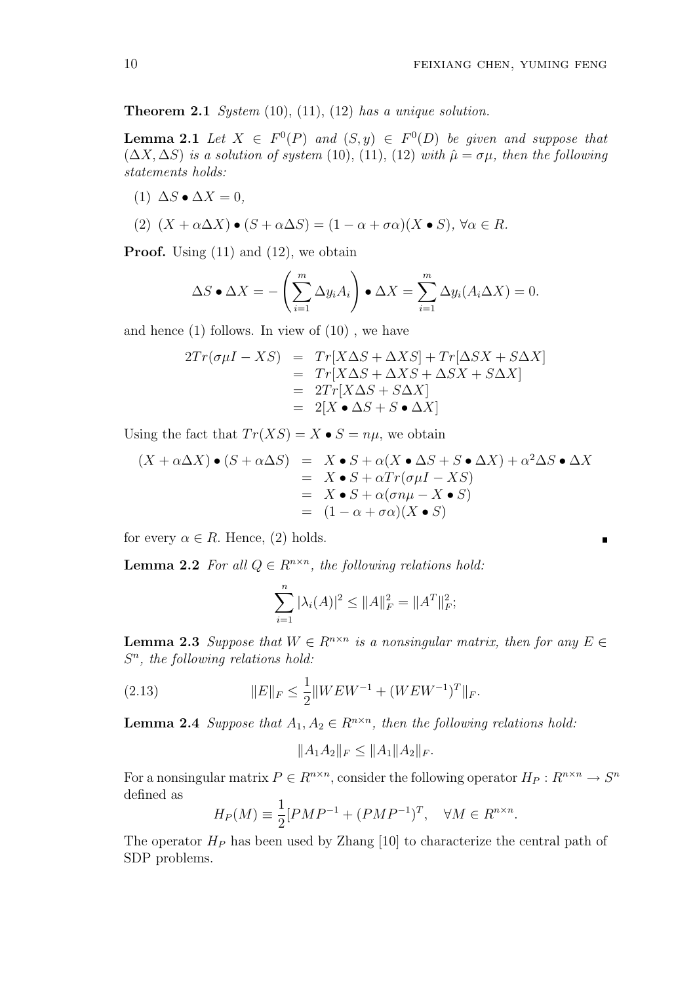$\blacksquare$ 

**Theorem 2.1** System  $(10)$ ,  $(11)$ ,  $(12)$  has a unique solution.

**Lemma 2.1** Let  $X \in F^0(P)$  and  $(S, y) \in F^0(D)$  be given and suppose that  $(\Delta X, \Delta S)$  is a solution of system (10), (11), (12) with  $\hat{\mu} = \sigma \mu$ , then the following statements holds:

(1)  $\Delta S \bullet \Delta X = 0$ ,

(2) 
$$
(X + \alpha \Delta X) \bullet (S + \alpha \Delta S) = (1 - \alpha + \sigma \alpha)(X \bullet S), \forall \alpha \in R.
$$

Proof. Using (11) and (12), we obtain

$$
\Delta S \bullet \Delta X = -\left(\sum_{i=1}^m \Delta y_i A_i\right) \bullet \Delta X = \sum_{i=1}^m \Delta y_i (A_i \Delta X) = 0.
$$

and hence (1) follows. In view of (10) , we have

$$
2Tr(\sigma\mu I - XS) = Tr[X\Delta S + \Delta XS] + Tr[\Delta SX + S\Delta X]
$$
  
= Tr[X\Delta S + \Delta XS + \Delta SX + S\Delta X]  
= 2Tr[X\Delta S + S\Delta X]  
= 2[X \bullet \Delta S + S \bullet \Delta X]

Using the fact that  $Tr(XS) = X \bullet S = n\mu$ , we obtain

$$
(X + \alpha \Delta X) \bullet (S + \alpha \Delta S) = X \bullet S + \alpha (X \bullet \Delta S + S \bullet \Delta X) + \alpha^2 \Delta S \bullet \Delta X
$$
  
=  $X \bullet S + \alpha Tr(\sigma \mu I - XS)$   
=  $X \bullet S + \alpha (\sigma n \mu - X \bullet S)$   
=  $(1 - \alpha + \sigma \alpha)(X \bullet S)$ 

for every  $\alpha \in R$ . Hence, (2) holds.

**Lemma 2.2** For all  $Q \in R^{n \times n}$ , the following relations hold:

$$
\sum_{i=1}^{n} |\lambda_i(A)|^2 \le ||A||_F^2 = ||A^T||_F^2;
$$

**Lemma 2.3** Suppose that  $W \in R^{n \times n}$  is a nonsingular matrix, then for any  $E \in$  $S<sup>n</sup>$ , the following relations hold:

(2.13) 
$$
||E||_F \le \frac{1}{2}||WEW^{-1} + (WEW^{-1})^T||_F.
$$

**Lemma 2.4** Suppose that  $A_1, A_2 \in R^{n \times n}$ , then the following relations hold:

$$
||A_1A_2||_F \le ||A_1||A_2||_F.
$$

For a nonsingular matrix  $P \in R^{n \times n}$ , consider the following operator  $H_P: R^{n \times n} \to S^n$ defined as

$$
H_P(M) \equiv \frac{1}{2} [PMP^{-1} + (PMP^{-1})^T, \quad \forall M \in R^{n \times n}.
$$

The operator  $H_P$  has been used by Zhang [10] to characterize the central path of SDP problems.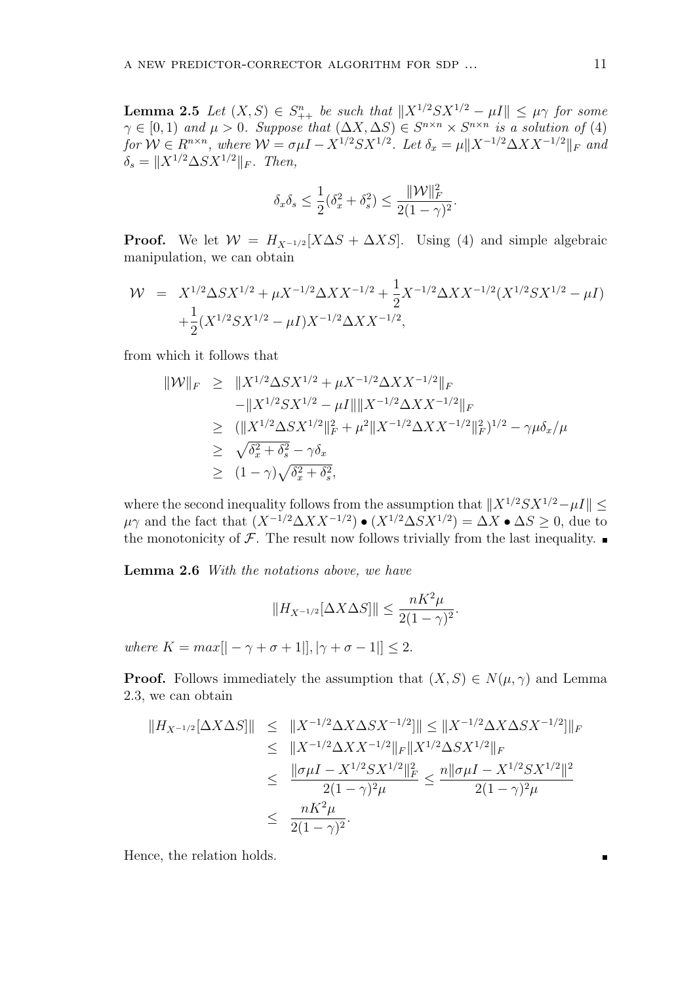**Lemma 2.5** Let  $(X, S) \in S_{++}^n$  be such that  $||X^{1/2}SX^{1/2} - \mu I|| \leq \mu \gamma$  for some  $\gamma \in [0,1)$  and  $\mu > 0$ . Suppose that  $(\Delta X, \Delta S) \in S^{n \times n} \times S^{n \times n}$  is a solution of (4) for  $W \in R^{n \times n}$ , where  $W = \sigma \mu I - X^{1/2} S X^{1/2}$ . Let  $\delta_x = \mu \|X^{-1/2} \Delta X X^{-1/2}\|_F$  and  $\delta_s = \|X^{1/2} \Delta S X^{1/2}\|_F.$  Then,

$$
\delta_x \delta_s \le \frac{1}{2} (\delta_x^2 + \delta_s^2) \le \frac{\| \mathcal{W} \|^2_F}{2(1 - \gamma)^2}
$$

.

**Proof.** We let  $W = H_{X^{-1/2}}[X\Delta S + \Delta XS]$ . Using (4) and simple algebraic manipulation, we can obtain

$$
\mathcal{W} = X^{1/2} \Delta S X^{1/2} + \mu X^{-1/2} \Delta X X^{-1/2} + \frac{1}{2} X^{-1/2} \Delta X X^{-1/2} (X^{1/2} S X^{1/2} - \mu I) + \frac{1}{2} (X^{1/2} S X^{1/2} - \mu I) X^{-1/2} \Delta X X^{-1/2},
$$

from which it follows that

$$
\|W\|_F \ge \|X^{1/2}\Delta SX^{1/2} + \mu X^{-1/2}\Delta XX^{-1/2}\|_F
$$
  
\n
$$
-\|X^{1/2}SX^{1/2} - \mu I\| \|X^{-1/2}\Delta XX^{-1/2}\|_F
$$
  
\n
$$
\ge (\|X^{1/2}\Delta SX^{1/2}\|_F^2 + \mu^2 \|X^{-1/2}\Delta XX^{-1/2}\|_F^2)^{1/2} - \gamma\mu \delta_x/\mu
$$
  
\n
$$
\ge \sqrt{\delta_x^2 + \delta_s^2} - \gamma \delta_x
$$
  
\n
$$
\ge (1 - \gamma)\sqrt{\delta_x^2 + \delta_s^2},
$$

where the second inequality follows from the assumption that  $||X^{1/2}SX^{1/2}-\mu I|| \le$  $\mu\gamma$  and the fact that  $(X^{-1/2}\Delta XX^{-1/2}) \bullet (X^{1/2}\Delta SX^{1/2}) = \Delta X \bullet \Delta S \geq 0$ , due to the monotonicity of  $\mathcal F$ . The result now follows trivially from the last inequality.

Lemma 2.6 With the notations above, we have

$$
||H_{X^{-1/2}}[\Delta X \Delta S]|| \le \frac{nK^2\mu}{2(1-\gamma)^2}.
$$

where  $K = max[$   $-\gamma + \sigma + 1$ ],  $|\gamma + \sigma - 1|$ ]  $\leq 2$ .

**Proof.** Follows immediately the assumption that  $(X, S) \in N(\mu, \gamma)$  and Lemma 2.3, we can obtain

$$
||H_{X^{-1/2}}[\Delta X \Delta S]|| \le ||X^{-1/2} \Delta X \Delta S X^{-1/2}]|| \le ||X^{-1/2} \Delta X \Delta S X^{-1/2}]||_F
$$
  
\n
$$
\le ||X^{-1/2} \Delta X X^{-1/2}||_F ||X^{1/2} \Delta S X^{1/2}||_F
$$
  
\n
$$
\le \frac{||\sigma \mu I - X^{1/2} S X^{1/2}||_F^2}{2(1-\gamma)^2 \mu} \le \frac{n ||\sigma \mu I - X^{1/2} S X^{1/2}||^2}{2(1-\gamma)^2 \mu}
$$
  
\n
$$
\le \frac{nK^2 \mu}{2(1-\gamma)^2}.
$$

Hence, the relation holds.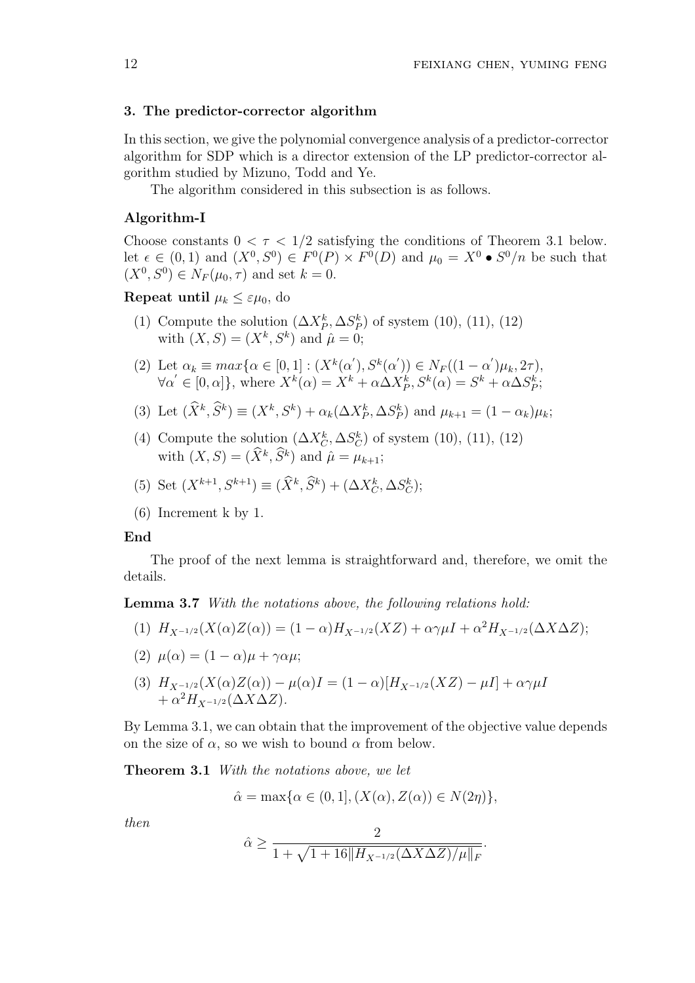#### 3. The predictor-corrector algorithm

In this section, we give the polynomial convergence analysis of a predictor-corrector algorithm for SDP which is a director extension of the LP predictor-corrector algorithm studied by Mizuno, Todd and Ye.

The algorithm considered in this subsection is as follows.

## Algorithm-I

Choose constants  $0 < \tau < 1/2$  satisfying the conditions of Theorem 3.1 below. let  $\epsilon \in (0,1)$  and  $(X^0, S^0) \in F^0(P) \times F^0(D)$  and  $\mu_0 = X^0 \bullet S^0/n$  be such that  $(X^0, S^0) \in N_F(\mu_0, \tau)$  and set  $k = 0$ .

## Repeat until  $\mu_k \leq \varepsilon \mu_0$ , do

- (1) Compute the solution  $(\Delta X_P^k, \Delta S_P^k)$  of system (10), (11), (12) with  $(X, S) = (X^k, S^k)$  and  $\hat{\mu} = 0$ ;
- (2) Let  $\alpha_k \equiv max\{\alpha \in [0,1] : (X^k(\alpha'), S^k(\alpha')) \in N_F((1-\alpha')\mu_k, 2\tau),\}$  $\forall \alpha' \in [0, \alpha]$ , where  $X^k(\alpha) = X^k + \alpha \Delta X_P^k$ ,  $S^k(\alpha) = S^k + \alpha \Delta S_P^k$ ;
- (3) Let  $(\widehat{X}^k, \widehat{S}^k) \equiv (X^k, S^k) + \alpha_k(\Delta X_P^k, \Delta S_P^k)$  and  $\mu_{k+1} = (1 \alpha_k)\mu_k$ ;
- (4) Compute the solution  $(\Delta X_C^k, \Delta S_C^k)$  of system (10), (11), (12) with  $(X, S) = (\widehat{X}^k, \widehat{S}^k)$  and  $\widehat{\mu} = \mu_{k+1};$
- (5) Set  $(X^{k+1}, S^{k+1}) \equiv (\hat{X}^k, \hat{S}^k) + (\Delta X_C^k, \Delta S_C^k);$
- (6) Increment k by 1.

#### End

The proof of the next lemma is straightforward and, therefore, we omit the details.

Lemma 3.7 With the notations above, the following relations hold:

(1)  $H_{X^{-1/2}}(X(\alpha)Z(\alpha)) = (1-\alpha)H_{X^{-1/2}}(XZ) + \alpha\gamma\mu I + \alpha^2 H_{X^{-1/2}}(\Delta X\Delta Z);$ 

$$
(2) \ \mu(\alpha) = (1 - \alpha)\mu + \gamma \alpha \mu;
$$

(3) 
$$
H_{X^{-1/2}}(X(\alpha)Z(\alpha)) - \mu(\alpha)I = (1 - \alpha)[H_{X^{-1/2}}(XZ) - \mu I] + \alpha \gamma \mu I + \alpha^2 H_{X^{-1/2}}(\Delta X \Delta Z).
$$

By Lemma 3.1, we can obtain that the improvement of the objective value depends on the size of  $\alpha$ , so we wish to bound  $\alpha$  from below.

Theorem 3.1 With the notations above, we let

$$
\hat{\alpha} = \max\{\alpha \in (0, 1], (X(\alpha), Z(\alpha)) \in N(2\eta)\},\
$$

then

$$
\hat{\alpha} \ge \frac{2}{1 + \sqrt{1 + 16\|H_{X^{-1/2}}(\Delta X \Delta Z)/\mu\|_F}}.
$$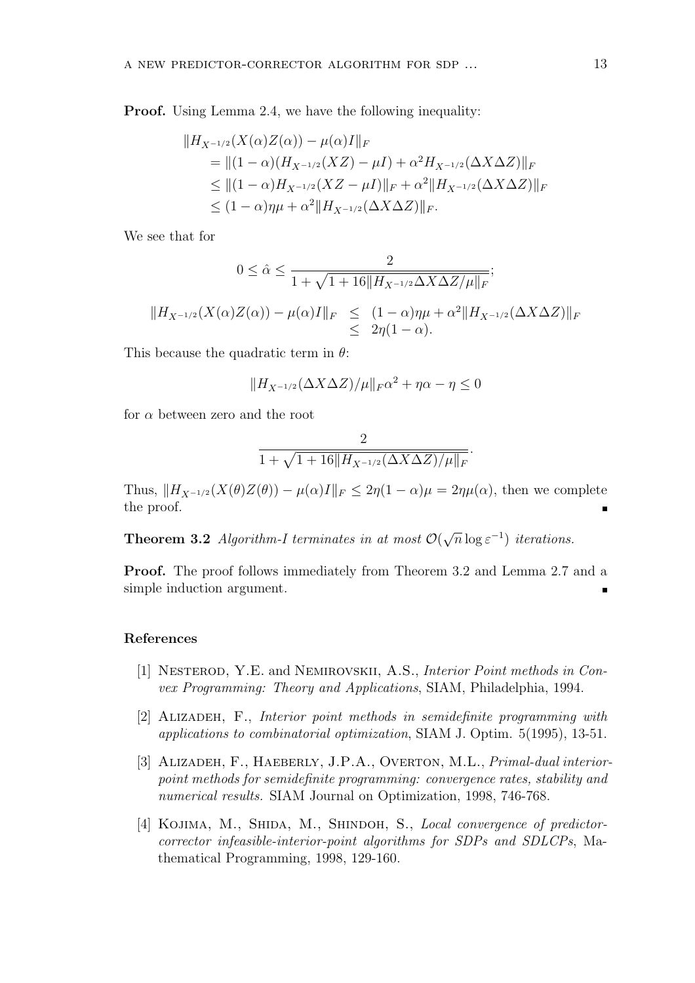**Proof.** Using Lemma 2.4, we have the following inequality:

$$
||H_{X^{-1/2}}(X(\alpha)Z(\alpha)) - \mu(\alpha)I||_F
$$
  
=  $||(1 - \alpha)(H_{X^{-1/2}}(XZ) - \mu I) + \alpha^2 H_{X^{-1/2}}(\Delta X \Delta Z)||_F$   
 $\leq ||(1 - \alpha)H_{X^{-1/2}}(XZ - \mu I)||_F + \alpha^2 ||H_{X^{-1/2}}(\Delta X \Delta Z)||_F$   
 $\leq (1 - \alpha)\eta\mu + \alpha^2 ||H_{X^{-1/2}}(\Delta X \Delta Z)||_F.$ 

We see that for

$$
0 \leq \hat{\alpha} \leq \frac{2}{1 + \sqrt{1 + 16||H_{X^{-1/2}}\Delta X \Delta Z/\mu||_F}};
$$
  

$$
||H_{X^{-1/2}}(X(\alpha)Z(\alpha)) - \mu(\alpha)I||_F \leq (1 - \alpha)\eta\mu + \alpha^2||H_{X^{-1/2}}(\Delta X \Delta Z)||_F
$$
  

$$
\leq 2\eta(1 - \alpha).
$$

This because the quadratic term in  $\theta$ :

$$
||H_{X^{-1/2}}(\Delta X \Delta Z)/\mu||_F\alpha^2 + \eta\alpha - \eta \le 0
$$

for  $\alpha$  between zero and the root

$$
\frac{2}{1+\sqrt{1+16\|H_{X^{-1/2}}(\Delta X \Delta Z)/\mu\|_F}}.
$$

Thus,  $||H_{X^{-1/2}}(X(\theta)Z(\theta)) - \mu(\alpha)I||_F \leq 2\eta(1-\alpha)\mu = 2\eta\mu(\alpha)$ , then we complete the proof.

**Theorem 3.2** Algorithm-I terminates in at most  $\mathcal{O}(\mathbb{C})$ √  $\overline{n} \log \varepsilon^{-1}$ ) iterations.

Proof. The proof follows immediately from Theorem 3.2 and Lemma 2.7 and a simple induction argument.

#### References

- [1] Nesterod, Y.E. and Nemirovskii, A.S., Interior Point methods in Convex Programming: Theory and Applications, SIAM, Philadelphia, 1994.
- [2] Alizadeh, F., Interior point methods in semidefinite programming with applications to combinatorial optimization, SIAM J. Optim. 5(1995), 13-51.
- [3] ALIZADEH, F., HAEBERLY, J.P.A., OVERTON, M.L., *Primal-dual interior*point methods for semidefinite programming: convergence rates, stability and numerical results. SIAM Journal on Optimization, 1998, 746-768.
- [4] KOJIMA, M., SHIDA, M., SHINDOH, S., Local convergence of predictorcorrector infeasible-interior-point algorithms for SDPs and SDLCPs, Mathematical Programming, 1998, 129-160.